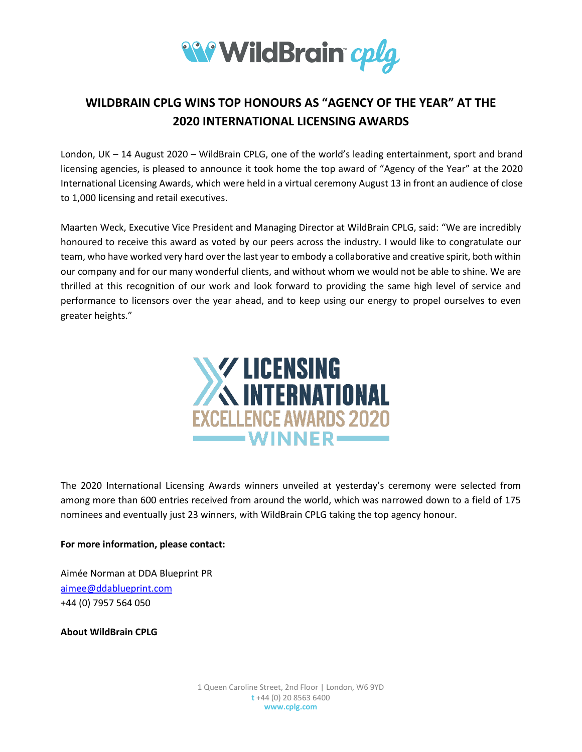

## **WILDBRAIN CPLG WINS TOP HONOURS AS "AGENCY OF THE YEAR" AT THE 2020 INTERNATIONAL LICENSING AWARDS**

London, UK – 14 August 2020 – WildBrain CPLG, one of the world's leading entertainment, sport and brand licensing agencies, is pleased to announce it took home the top award of "Agency of the Year" at the 2020 International Licensing Awards, which were held in a virtual ceremony August 13 in front an audience of close to 1,000 licensing and retail executives.

Maarten Weck, Executive Vice President and Managing Director at WildBrain CPLG, said: "We are incredibly honoured to receive this award as voted by our peers across the industry. I would like to congratulate our team, who have worked very hard over the last year to embody a collaborative and creative spirit, both within our company and for our many wonderful clients, and without whom we would not be able to shine. We are thrilled at this recognition of our work and look forward to providing the same high level of service and performance to licensors over the year ahead, and to keep using our energy to propel ourselves to even greater heights."



The 2020 International Licensing Awards winners unveiled at yesterday's ceremony were selected from among more than 600 entries received from around the world, which was narrowed down to a field of 175 nominees and eventually just 23 winners, with WildBrain CPLG taking the top agency honour.

## **For more information, please contact:**

Aimée Norman at DDA Blueprint PR [aimee@ddablueprint.com](mailto:aimee@ddablueprint.com) +44 (0) 7957 564 050

**About WildBrain CPLG**

1 Queen Caroline Street, 2nd Floor | London, W6 9YD **t** +44 (0) 20 8563 6400 **www.cplg.com**